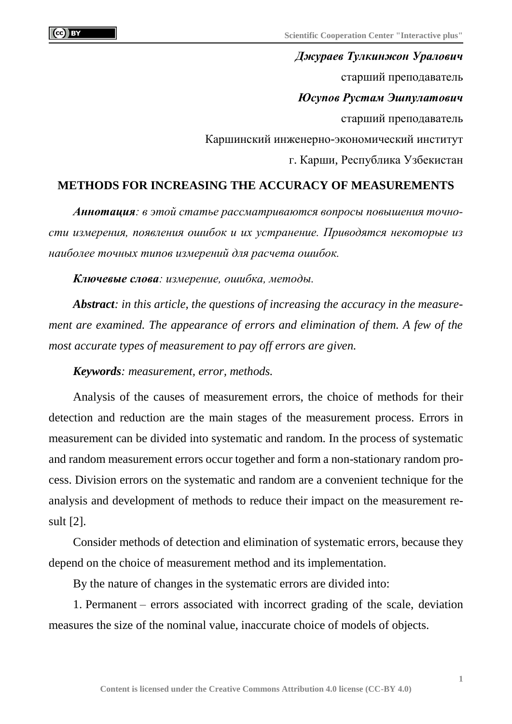*Джураев Тулкинжон Уралович* старший преподаватель *Юсупов Рустам Эшпулатович* старший преподаватель Каршинский инженерно-экономический институт г. Карши, Республика Узбекистан

## **METHODS FOR INCREASING THE ACCURACY OF MEASUREMENTS**

*Аннотация: в этой статье рассматриваются вопросы повышения точности измерения, появления ошибок и их устранение. Приводятся некоторые из наиболее точных типов измерений для расчета ошибок.*

*Ключевые слова: измерение, ошибка, методы.*

*Abstract: in this article, the questions of increasing the accuracy in the measurement are examined. The appearance of errors and elimination of them. A few of the most accurate types of measurement to pay off errors are given.*

*Keywords: measurement, error, methods.*

Analysis of the causes of measurement errors, the choice of methods for their detection and reduction are the main stages of the measurement process. Errors in measurement can be divided into systematic and random. In the process of systematic and random measurement errors occur together and form a non-stationary random process. Division errors on the systematic and random are a convenient technique for the analysis and development of methods to reduce their impact on the measurement result [2].

Consider methods of detection and elimination of systematic errors, because they depend on the choice of measurement method and its implementation.

By the nature of changes in the systematic errors are divided into:

1. Permanent – errors associated with incorrect grading of the scale, deviation measures the size of the nominal value, inaccurate choice of models of objects.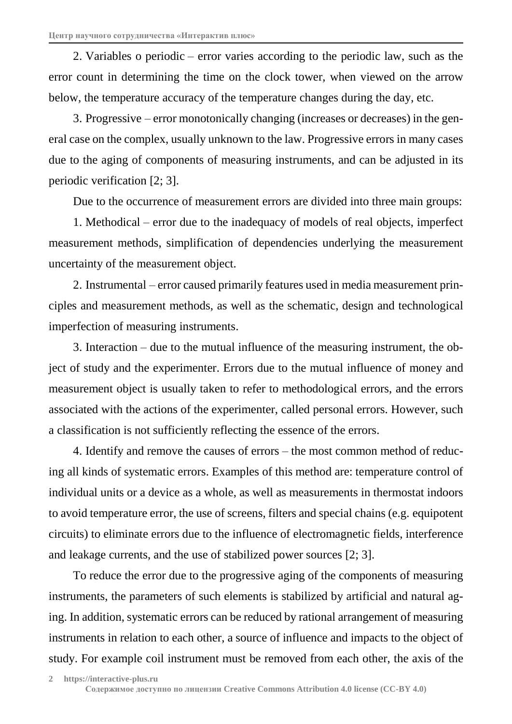2. Variables o periodic – error varies according to the periodic law, such as the error count in determining the time on the clock tower, when viewed on the arrow below, the temperature accuracy of the temperature changes during the day, etc.

3. Progressive – error monotonically changing (increases or decreases) in the general case on the complex, usually unknown to the law. Progressive errors in many cases due to the aging of components of measuring instruments, and can be adjusted in its periodic verification [2; 3].

Due to the occurrence of measurement errors are divided into three main groups:

1. Methodical – error due to the inadequacy of models of real objects, imperfect measurement methods, simplification of dependencies underlying the measurement uncertainty of the measurement object.

2. Instrumental – error caused primarily features used in media measurement principles and measurement methods, as well as the schematic, design and technological imperfection of measuring instruments.

3. Interaction – due to the mutual influence of the measuring instrument, the object of study and the experimenter. Errors due to the mutual influence of money and measurement object is usually taken to refer to methodological errors, and the errors associated with the actions of the experimenter, called personal errors. However, such a classification is not sufficiently reflecting the essence of the errors.

4. Identify and remove the causes of errors – the most common method of reducing all kinds of systematic errors. Examples of this method are: temperature control of individual units or a device as a whole, as well as measurements in thermostat indoors to avoid temperature error, the use of screens, filters and special chains (e.g. equipotent circuits) to eliminate errors due to the influence of electromagnetic fields, interference and leakage currents, and the use of stabilized power sources [2; 3].

To reduce the error due to the progressive aging of the components of measuring instruments, the parameters of such elements is stabilized by artificial and natural aging. In addition, systematic errors can be reduced by rational arrangement of measuring instruments in relation to each other, a source of influence and impacts to the object of study. For example coil instrument must be removed from each other, the axis of the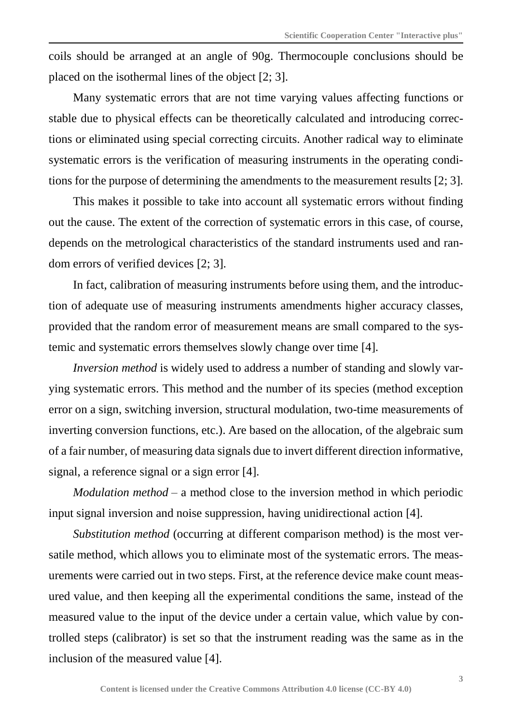coils should be arranged at an angle of 90g. Thermocouple conclusions should be placed on the isothermal lines of the object [2; 3].

Many systematic errors that are not time varying values affecting functions or stable due to physical effects can be theoretically calculated and introducing corrections or eliminated using special correcting circuits. Another radical way to eliminate systematic errors is the verification of measuring instruments in the operating conditions for the purpose of determining the amendments to the measurement results [2; 3].

This makes it possible to take into account all systematic errors without finding out the cause. The extent of the correction of systematic errors in this case, of course, depends on the metrological characteristics of the standard instruments used and random errors of verified devices [2; 3].

In fact, calibration of measuring instruments before using them, and the introduction of adequate use of measuring instruments amendments higher accuracy classes, provided that the random error of measurement means are small compared to the systemic and systematic errors themselves slowly change over time [4].

*Inversion method* is widely used to address a number of standing and slowly varying systematic errors. This method and the number of its species (method exception error on a sign, switching inversion, structural modulation, two-time measurements of inverting conversion functions, etc.). Are based on the allocation, of the algebraic sum of a fair number, of measuring data signals due to invert different direction informative, signal, a reference signal or a sign error [4].

*Modulation method* – a method close to the inversion method in which periodic input signal inversion and noise suppression, having unidirectional action [4].

*Substitution method* (occurring at different comparison method) is the most versatile method, which allows you to eliminate most of the systematic errors. The measurements were carried out in two steps. First, at the reference device make count measured value, and then keeping all the experimental conditions the same, instead of the measured value to the input of the device under a certain value, which value by controlled steps (calibrator) is set so that the instrument reading was the same as in the inclusion of the measured value [4].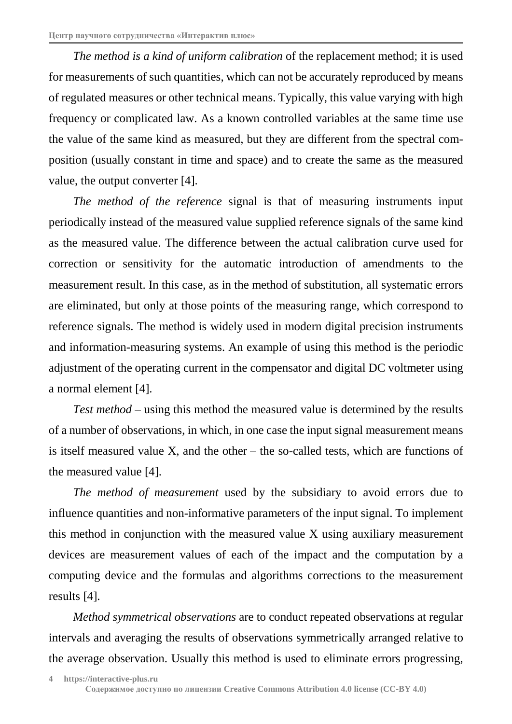*The method is a kind of uniform calibration* of the replacement method; it is used for measurements of such quantities, which can not be accurately reproduced by means of regulated measures or other technical means. Typically, this value varying with high frequency or complicated law. As a known controlled variables at the same time use the value of the same kind as measured, but they are different from the spectral composition (usually constant in time and space) and to create the same as the measured value, the output converter [4].

*The method of the reference* signal is that of measuring instruments input periodically instead of the measured value supplied reference signals of the same kind as the measured value. The difference between the actual calibration curve used for correction or sensitivity for the automatic introduction of amendments to the measurement result. In this case, as in the method of substitution, all systematic errors are eliminated, but only at those points of the measuring range, which correspond to reference signals. The method is widely used in modern digital precision instruments and information-measuring systems. An example of using this method is the periodic adjustment of the operating current in the compensator and digital DC voltmeter using a normal element [4].

*Test method* – using this method the measured value is determined by the results of a number of observations, in which, in one case the input signal measurement means is itself measured value X, and the other – the so-called tests, which are functions of the measured value [4].

*The method of measurement* used by the subsidiary to avoid errors due to influence quantities and non-informative parameters of the input signal. To implement this method in conjunction with the measured value X using auxiliary measurement devices are measurement values of each of the impact and the computation by a computing device and the formulas and algorithms corrections to the measurement results [4].

*Method symmetrical observations* are to conduct repeated observations at regular intervals and averaging the results of observations symmetrically arranged relative to the average observation. Usually this method is used to eliminate errors progressing,